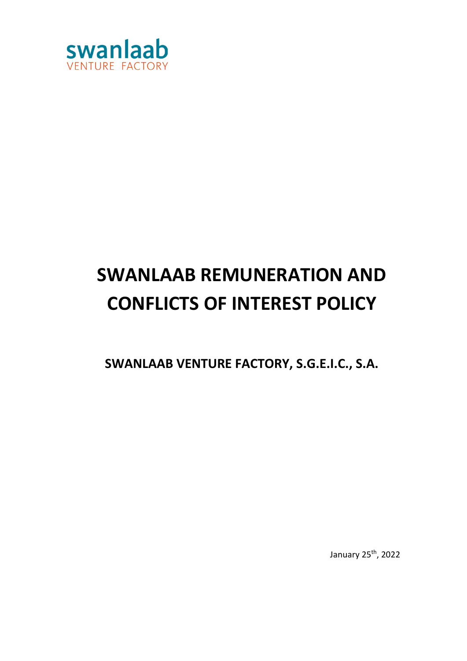

# **SWANLAAB REMUNERATION AND CONFLICTS OF INTEREST POLICY**

**SWANLAAB VENTURE FACTORY, S.G.E.I.C., S.A.**

January 25<sup>th</sup>, 2022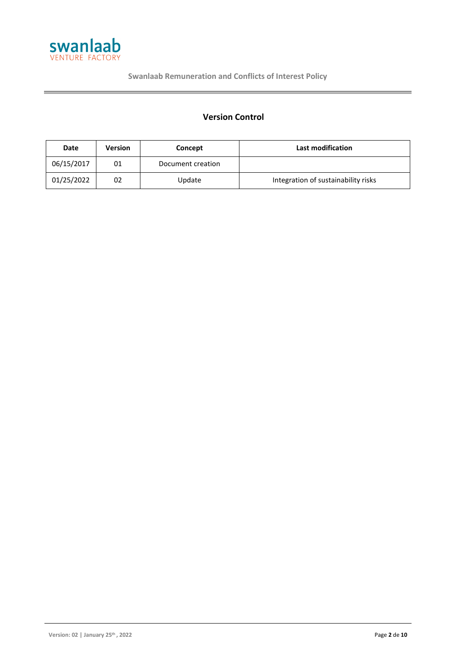

**Swanlaab Remuneration and Conflicts of Interest Policy**

# **Version Control**

| Date       | <b>Version</b> | Concept           | <b>Last modification</b>            |
|------------|----------------|-------------------|-------------------------------------|
| 06/15/2017 | 01             | Document creation |                                     |
| 01/25/2022 | 02             | Update            | Integration of sustainability risks |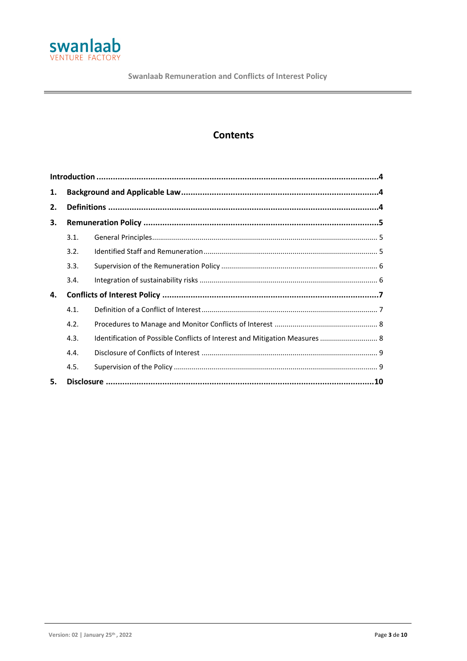

# **Contents**

| 1. |      |                                                                             |  |  |  |
|----|------|-----------------------------------------------------------------------------|--|--|--|
| 2. |      |                                                                             |  |  |  |
| 3. |      |                                                                             |  |  |  |
|    | 3.1. |                                                                             |  |  |  |
|    | 3.2. |                                                                             |  |  |  |
|    | 3.3. |                                                                             |  |  |  |
|    | 3.4. |                                                                             |  |  |  |
| 4. |      |                                                                             |  |  |  |
|    | 4.1. |                                                                             |  |  |  |
|    | 4.2. |                                                                             |  |  |  |
|    | 4.3. | Identification of Possible Conflicts of Interest and Mitigation Measures  8 |  |  |  |
|    | 4.4. |                                                                             |  |  |  |
|    | 4.5. |                                                                             |  |  |  |
| 5. |      |                                                                             |  |  |  |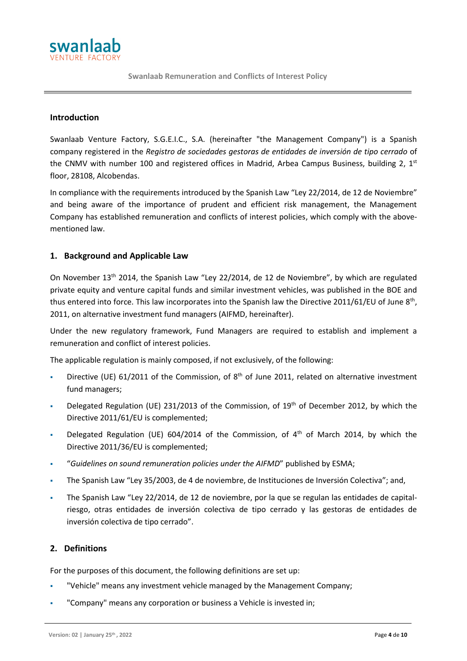

#### <span id="page-3-0"></span>**Introduction**

Swanlaab Venture Factory, S.G.E.I.C., S.A. (hereinafter "the Management Company") is a Spanish company registered in the *Registro de sociedades gestoras de entidades de inversión de tipo cerrado* of the CNMV with number 100 and registered offices in Madrid, Arbea Campus Business, building 2, 1st floor, 28108, Alcobendas.

In compliance with the requirements introduced by the Spanish Law "Ley 22/2014, de 12 de Noviembre" and being aware of the importance of prudent and efficient risk management, the Management Company has established remuneration and conflicts of interest policies, which comply with the abovementioned law.

# <span id="page-3-1"></span>**1. Background and Applicable Law**

On November  $13<sup>th</sup>$  2014, the Spanish Law "Ley 22/2014, de 12 de Noviembre", by which are regulated private equity and venture capital funds and similar investment vehicles, was published in the BOE and thus entered into force. This law incorporates into the Spanish law the Directive 2011/61/EU of June 8<sup>th</sup>, 2011, on alternative investment fund managers (AIFMD, hereinafter).

Under the new regulatory framework, Fund Managers are required to establish and implement a remuneration and conflict of interest policies.

The applicable regulation is mainly composed, if not exclusively, of the following:

- Directive (UE) 61/2011 of the Commission, of 8<sup>th</sup> of June 2011, related on alternative investment fund managers;
- Delegated Regulation (UE) 231/2013 of the Commission, of 19<sup>th</sup> of December 2012, by which the Directive 2011/61/EU is complemented;
- Delegated Regulation (UE) 604/2014 of the Commission, of 4<sup>th</sup> of March 2014, by which the Directive 2011/36/EU is complemented;
- "*Guidelines on sound remuneration policies under the AIFMD*" published by ESMA;
- The Spanish Law "Ley 35/2003, de 4 de noviembre, de Instituciones de Inversión Colectiva"; and,
- The Spanish Law "Ley 22/2014, de 12 de noviembre, por la que se regulan las entidades de capitalriesgo, otras entidades de inversión colectiva de tipo cerrado y las gestoras de entidades de inversión colectiva de tipo cerrado".

# <span id="page-3-2"></span>**2. Definitions**

For the purposes of this document, the following definitions are set up:

- "Vehicle" means any investment vehicle managed by the Management Company;
- "Company" means any corporation or business a Vehicle is invested in;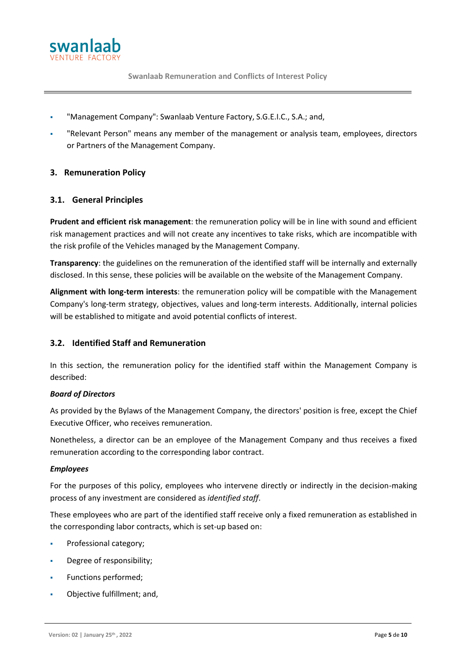

- "Management Company": Swanlaab Venture Factory, S.G.E.I.C., S.A.; and,
- "Relevant Person" means any member of the management or analysis team, employees, directors or Partners of the Management Company.

# <span id="page-4-0"></span>**3. Remuneration Policy**

# <span id="page-4-1"></span>**3.1. General Principles**

**Prudent and efficient risk management**: the remuneration policy will be in line with sound and efficient risk management practices and will not create any incentives to take risks, which are incompatible with the risk profile of the Vehicles managed by the Management Company.

**Transparency**: the guidelines on the remuneration of the identified staff will be internally and externally disclosed. In this sense, these policies will be available on the website of the Management Company.

**Alignment with long-term interests**: the remuneration policy will be compatible with the Management Company's long-term strategy, objectives, values and long-term interests. Additionally, internal policies will be established to mitigate and avoid potential conflicts of interest.

#### <span id="page-4-2"></span>**3.2. Identified Staff and Remuneration**

In this section, the remuneration policy for the identified staff within the Management Company is described:

#### *Board of Directors*

As provided by the Bylaws of the Management Company, the directors' position is free, except the Chief Executive Officer, who receives remuneration.

Nonetheless, a director can be an employee of the Management Company and thus receives a fixed remuneration according to the corresponding labor contract.

#### *Employees*

For the purposes of this policy, employees who intervene directly or indirectly in the decision-making process of any investment are considered as *identified staff*.

These employees who are part of the identified staff receive only a fixed remuneration as established in the corresponding labor contracts, which is set-up based on:

- Professional category;
- Degree of responsibility;
- Functions performed;
- Objective fulfillment; and,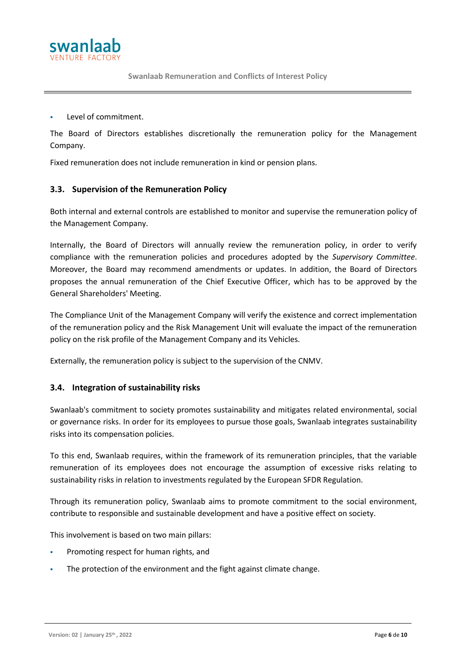

Level of commitment.

VENTURE FACTOR

The Board of Directors establishes discretionally the remuneration policy for the Management Company.

Fixed remuneration does not include remuneration in kind or pension plans.

#### <span id="page-5-0"></span>**3.3. Supervision of the Remuneration Policy**

Both internal and external controls are established to monitor and supervise the remuneration policy of the Management Company.

Internally, the Board of Directors will annually review the remuneration policy, in order to verify compliance with the remuneration policies and procedures adopted by the *Supervisory Committee*. Moreover, the Board may recommend amendments or updates. In addition, the Board of Directors proposes the annual remuneration of the Chief Executive Officer, which has to be approved by the General Shareholders' Meeting.

The Compliance Unit of the Management Company will verify the existence and correct implementation of the remuneration policy and the Risk Management Unit will evaluate the impact of the remuneration policy on the risk profile of the Management Company and its Vehicles.

Externally, the remuneration policy is subject to the supervision of the CNMV.

#### <span id="page-5-1"></span>**3.4. Integration of sustainability risks**

Swanlaab's commitment to society promotes sustainability and mitigates related environmental, social or governance risks. In order for its employees to pursue those goals, Swanlaab integrates sustainability risks into its compensation policies.

To this end, Swanlaab requires, within the framework of its remuneration principles, that the variable remuneration of its employees does not encourage the assumption of excessive risks relating to sustainability risks in relation to investments regulated by the European SFDR Regulation.

Through its remuneration policy, Swanlaab aims to promote commitment to the social environment, contribute to responsible and sustainable development and have a positive effect on society.

This involvement is based on two main pillars:

- **•** Promoting respect for human rights, and
- The protection of the environment and the fight against climate change.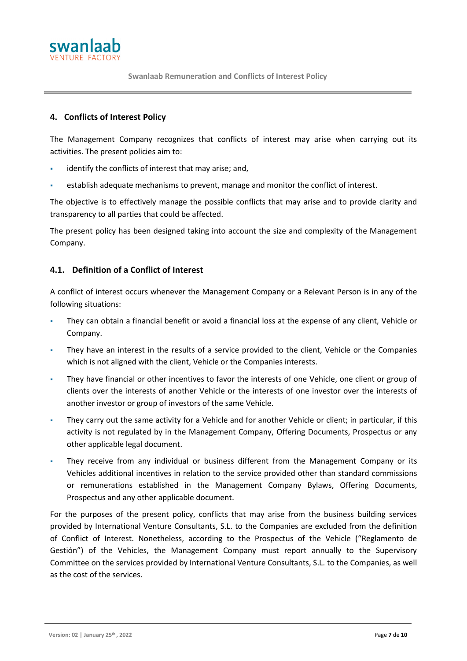

# <span id="page-6-0"></span>**4. Conflicts of Interest Policy**

The Management Company recognizes that conflicts of interest may arise when carrying out its activities. The present policies aim to:

- identify the conflicts of interest that may arise; and,
- establish adequate mechanisms to prevent, manage and monitor the conflict of interest.

The objective is to effectively manage the possible conflicts that may arise and to provide clarity and transparency to all parties that could be affected.

The present policy has been designed taking into account the size and complexity of the Management Company.

# <span id="page-6-1"></span>**4.1. Definition of a Conflict of Interest**

A conflict of interest occurs whenever the Management Company or a Relevant Person is in any of the following situations:

- They can obtain a financial benefit or avoid a financial loss at the expense of any client, Vehicle or Company.
- They have an interest in the results of a service provided to the client, Vehicle or the Companies which is not aligned with the client, Vehicle or the Companies interests.
- They have financial or other incentives to favor the interests of one Vehicle, one client or group of clients over the interests of another Vehicle or the interests of one investor over the interests of another investor or group of investors of the same Vehicle.
- They carry out the same activity for a Vehicle and for another Vehicle or client; in particular, if this activity is not regulated by in the Management Company, Offering Documents, Prospectus or any other applicable legal document.
- They receive from any individual or business different from the Management Company or its Vehicles additional incentives in relation to the service provided other than standard commissions or remunerations established in the Management Company Bylaws, Offering Documents, Prospectus and any other applicable document.

For the purposes of the present policy, conflicts that may arise from the business building services provided by International Venture Consultants, S.L. to the Companies are excluded from the definition of Conflict of Interest. Nonetheless, according to the Prospectus of the Vehicle ("Reglamento de Gestión") of the Vehicles, the Management Company must report annually to the Supervisory Committee on the services provided by International Venture Consultants, S.L. to the Companies, as well as the cost of the services.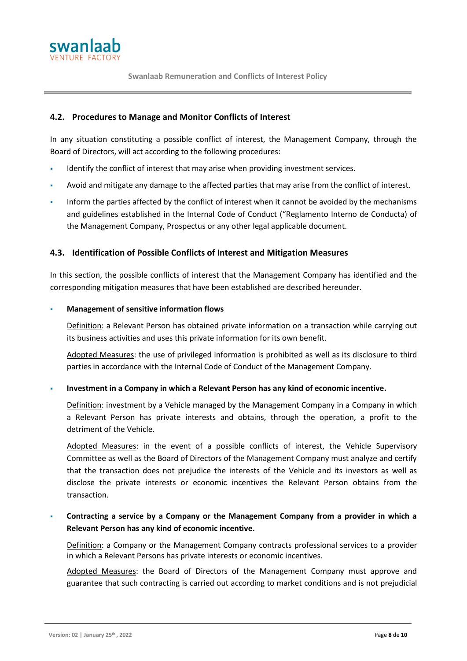

# <span id="page-7-0"></span>**4.2. Procedures to Manage and Monitor Conflicts of Interest**

In any situation constituting a possible conflict of interest, the Management Company, through the Board of Directors, will act according to the following procedures:

- Identify the conflict of interest that may arise when providing investment services.
- Avoid and mitigate any damage to the affected parties that may arise from the conflict of interest.
- Inform the parties affected by the conflict of interest when it cannot be avoided by the mechanisms and guidelines established in the Internal Code of Conduct ("Reglamento Interno de Conducta) of the Management Company, Prospectus or any other legal applicable document.

# <span id="page-7-1"></span>**4.3. Identification of Possible Conflicts of Interest and Mitigation Measures**

In this section, the possible conflicts of interest that the Management Company has identified and the corresponding mitigation measures that have been established are described hereunder.

#### **Management of sensitive information flows**

Definition: a Relevant Person has obtained private information on a transaction while carrying out its business activities and uses this private information for its own benefit.

Adopted Measures: the use of privileged information is prohibited as well as its disclosure to third parties in accordance with the Internal Code of Conduct of the Management Company.

▪ **Investment in a Company in which a Relevant Person has any kind of economic incentive.**

Definition: investment by a Vehicle managed by the Management Company in a Company in which a Relevant Person has private interests and obtains, through the operation, a profit to the detriment of the Vehicle.

Adopted Measures: in the event of a possible conflicts of interest, the Vehicle Supervisory Committee as well as the Board of Directors of the Management Company must analyze and certify that the transaction does not prejudice the interests of the Vehicle and its investors as well as disclose the private interests or economic incentives the Relevant Person obtains from the transaction.

# Contracting a service by a Company or the Management Company from a provider in which a **Relevant Person has any kind of economic incentive.**

Definition: a Company or the Management Company contracts professional services to a provider in which a Relevant Persons has private interests or economic incentives.

Adopted Measures: the Board of Directors of the Management Company must approve and guarantee that such contracting is carried out according to market conditions and is not prejudicial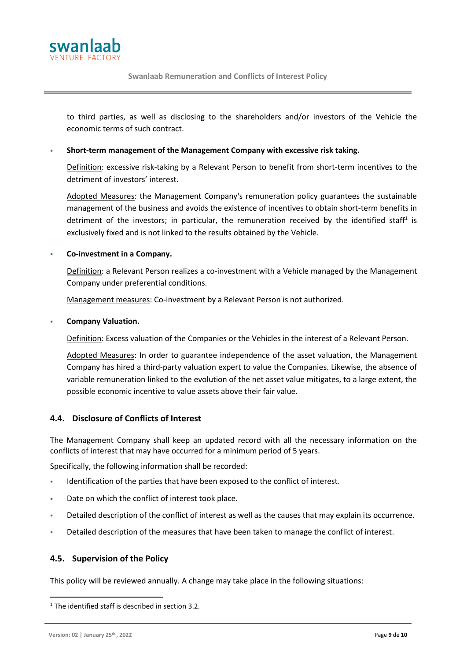

**Swanlaab Remuneration and Conflicts of Interest Policy**

to third parties, as well as disclosing to the shareholders and/or investors of the Vehicle the economic terms of such contract.

#### Short-term management of the Management Company with excessive risk taking.

Definition: excessive risk-taking by a Relevant Person to benefit from short-term incentives to the detriment of investors' interest.

Adopted Measures: the Management Company's remuneration policy guarantees the sustainable management of the business and avoids the existence of incentives to obtain short-term benefits in detriment of the investors; in particular, the remuneration received by the identified staff<sup>1</sup> is exclusively fixed and is not linked to the results obtained by the Vehicle.

#### **Co-investment in a Company.**

Definition: a Relevant Person realizes a co-investment with a Vehicle managed by the Management Company under preferential conditions.

Management measures: Co-investment by a Relevant Person is not authorized.

#### **Company Valuation.**

Definition: Excess valuation of the Companies or the Vehicles in the interest of a Relevant Person.

Adopted Measures: In order to guarantee independence of the asset valuation, the Management Company has hired a third-party valuation expert to value the Companies. Likewise, the absence of variable remuneration linked to the evolution of the net asset value mitigates, to a large extent, the possible economic incentive to value assets above their fair value.

# <span id="page-8-0"></span>**4.4. Disclosure of Conflicts of Interest**

The Management Company shall keep an updated record with all the necessary information on the conflicts of interest that may have occurred for a minimum period of 5 years.

Specifically, the following information shall be recorded:

- Identification of the parties that have been exposed to the conflict of interest.
- Date on which the conflict of interest took place.
- Detailed description of the conflict of interest as well as the causes that may explain its occurrence.
- Detailed description of the measures that have been taken to manage the conflict of interest.

#### <span id="page-8-1"></span>**4.5. Supervision of the Policy**

This policy will be reviewed annually. A change may take place in the following situations:

 $1$ <sup>1</sup> The identified staff is described in section 3.2.